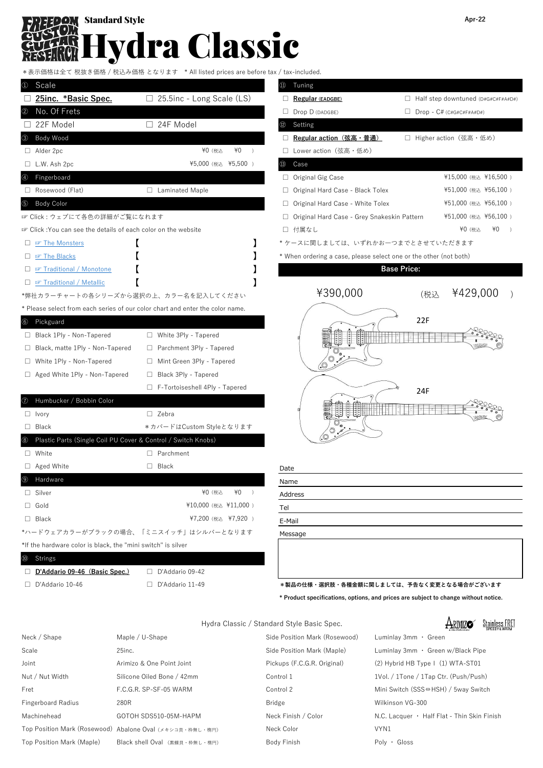## ydra Classic **Standard Style Apr-22**

税抜き価格 / 税込み価格 となります \* All listed prices are before tax / tax-included.

|                                                                      | <b>ATTITUDE DITIONS AND DETUTE THAT THE HIGHLIGHT</b>                         |                                                                   |                                           |
|----------------------------------------------------------------------|-------------------------------------------------------------------------------|-------------------------------------------------------------------|-------------------------------------------|
| Scale<br>$_{\scriptscriptstyle{(1)}}$                                |                                                                               | (11)<br>Tuning                                                    |                                           |
| 25inc. *Basic Spec.                                                  | $\Box$ 25.5inc - Long Scale (LS)                                              | Regular (EADGBE)                                                  | $\Box$ Half step downtuned (D#G#C#F#A#D#) |
| No. Of Frets<br>$\circled{2}$                                        |                                                                               | $\Box$ Drop D (DADGBE)                                            | $\Box$ Drop - C# (C#G#C#F#A#D#)           |
| 22F Model                                                            | □ 24F Model                                                                   | Setting                                                           |                                           |
| Body Wood                                                            |                                                                               | □ Regular action (弦高・普通)                                          | □ Higher action (弦高・低め)                   |
| $\Box$ Alder 2pc                                                     | ¥0 (税込<br>¥0                                                                  | □ Lower action (弦高・低め)                                            |                                           |
| $\Box$ L.W. Ash 2pc                                                  | ¥5,000 (税込 ¥5,500)                                                            | Case<br>(13)                                                      |                                           |
| Fingerboard<br>$\circledast$                                         |                                                                               | $\Box$ Original Gig Case                                          | ¥15,000 (税込 ¥16,500)                      |
| Rosewood (Flat)                                                      | □ Laminated Maple                                                             | $\Box$ Original Hard Case - Black Tolex                           | ¥51,000 (税込 ¥56,100)                      |
| Body Color<br>$\circledS$                                            |                                                                               | □ Original Hard Case - White Tolex                                | ¥51,000 (税込 ¥56,100)                      |
| ☞ Click : ウェブにて各色の詳細がご覧になれます                                         |                                                                               | □ Original Hard Case - Grey Snakeskin Pattern                     | ¥51,000 (税込 ¥56,100)                      |
| ■ Click: You can see the details of each color on the website        |                                                                               | □ 付属なし                                                            | ¥0 (税込<br>¥0<br>$\rightarrow$             |
| □ ☞ The Monsters                                                     |                                                                               | *ケースに関しましては、いずれかお一つまでとさせていただきます                                   |                                           |
| <b>EF</b> The Blacks<br>U.                                           |                                                                               | * When ordering a case, please select one or the other (not both) |                                           |
| <b>EF</b> Traditional / Monotone<br>u.                               |                                                                               |                                                                   | <b>Base Price:</b>                        |
| □ ☞ Traditional / Metallic                                           |                                                                               |                                                                   |                                           |
|                                                                      | *弊社カラーチャートの各シリーズから選択の上、カラー名を記入してください                                          | ¥390,000                                                          | ¥429,000<br>(税込                           |
|                                                                      | * Please select from each series of our color chart and enter the color name. |                                                                   |                                           |
| Pickguard<br>$\circled{6}$                                           |                                                                               |                                                                   | 22F                                       |
| □ Black 1Ply - Non-Tapered                                           | □ White 3Ply - Tapered                                                        |                                                                   |                                           |
| □ Black, matte 1Ply - Non-Tapered                                    | $\Box$ Parchment 3Ply - Tapered                                               |                                                                   |                                           |
| White 1Ply - Non-Tapered<br>ш                                        | Mint Green 3Ply - Tapered                                                     |                                                                   |                                           |
| $\Box$ Aged White 1Ply - Non-Tapered                                 | Black 3Ply - Tapered<br>ш                                                     |                                                                   |                                           |
|                                                                      | $\Box$ F-Tortoiseshell 4Ply - Tapered                                         |                                                                   | 24F                                       |
| Humbucker / Bobbin Color                                             |                                                                               |                                                                   |                                           |
| $\Box$ Ivory                                                         | $\Box$ Zebra                                                                  |                                                                   |                                           |
| $\Box$ Black                                                         | *カバードはCustom Styleとなります                                                       |                                                                   |                                           |
| Plastic Parts (Single Coil PU Cover & Control / Switch Knobs)<br>(8) |                                                                               |                                                                   |                                           |
| $\Box$ White                                                         | $\Box$ Parchment                                                              |                                                                   |                                           |
| $\Box$ Aged White                                                    | $\Box$<br>Black                                                               | Date                                                              |                                           |
| Hardware<br>(9)                                                      |                                                                               | Name                                                              |                                           |
| $\Box$ Silver                                                        | $*0$ )<br>¥0 (税込                                                              | Address                                                           |                                           |
| $\Box$ Gold                                                          | ¥10,000 (税込 ¥11,000)                                                          | Tel                                                               |                                           |
| $\Box$ Black                                                         | ¥7,200 (税込 ¥7,920)                                                            | E-Mail                                                            |                                           |
|                                                                      | *ハードウェアカラーがブラックの場合、「ミニスイッチ」はシルバーとなります                                         | Message                                                           |                                           |
| *If the hardware color is black, the "mini switch" is silver         |                                                                               |                                                                   |                                           |
| Strings<br>$\omega$                                                  |                                                                               |                                                                   |                                           |
| D'Addario 09-46 (Basic Spec.)                                        | D'Addario 09-42                                                               |                                                                   |                                           |
|                                                                      |                                                                               |                                                                   |                                           |

| I)             | Tuning                                                          |     |                                    |    |           |  |
|----------------|-----------------------------------------------------------------|-----|------------------------------------|----|-----------|--|
|                | Regular (EADGBE)                                                |     | Half step downtuned (D#G#C#F#A#D#) |    |           |  |
|                | Drop D (DADGBE)                                                 |     | $Drop - C# (C#G#C#F#A#D#)$         |    |           |  |
| $\overline{2}$ | Setting                                                         |     |                                    |    |           |  |
| □              | <u> Regular action(弦高・普通)</u>                                   |     | Higher action(弦高・低め)               |    |           |  |
| П              | Lower action(弦高・低め)                                             |     |                                    |    |           |  |
| 3)             | Case                                                            |     |                                    |    |           |  |
| $\Box$         | Original Gig Case                                               |     | ¥15,000 (税込 ¥16,500)               |    |           |  |
| □              | Original Hard Case - Black Tolex                                |     | ¥51,000 (税込 ¥56,100)               |    |           |  |
| $\Box$         | Original Hard Case - White Tolex                                |     | ¥51,000 (税込 ¥56,100)               |    |           |  |
| $\Box$         | Original Hard Case - Grey Snakeskin Pattern                     |     | ¥51,000 (税込 ¥56,100)               |    |           |  |
| □              | 付属なし                                                            |     | ¥0 (税込                             | ¥0 | $\lambda$ |  |
|                | ケースに関しましては、いずれかお一つまでとさせていただきます                                  |     |                                    |    |           |  |
|                | When ordering a case, please select one or the other (not both) |     |                                    |    |           |  |
|                | <b>Base Price:</b>                                              |     |                                    |    |           |  |
|                | ¥390,000                                                        | (税込 | ¥429,000                           |    |           |  |
|                |                                                                 |     |                                    |    |           |  |



| <b>Date</b> |  |
|-------------|--|
| Vame        |  |
| Address     |  |
| Tel         |  |
| E-Mail      |  |
| Message     |  |
|             |  |

□ D'Addario 10-46 □ D'Addario 11-49 **\*製品の仕様・選択肢・各種金額に関しましては、予告なく変更となる場合がございます**

**\* Product specifications, options, and prices are subject to change without notice.**

|                                                          |                               | <b>Stainless FRET</b><br><b><i>ARIMIZC</i></b> |
|----------------------------------------------------------|-------------------------------|------------------------------------------------|
| Maple / U-Shape                                          | Side Position Mark (Rosewood) | Luminlay 3mm · Green                           |
| $25$ inc.                                                | Side Position Mark (Maple)    | Luminlay 3mm · Green w/Black Pipe              |
| Arimizo & One Point Joint                                | Pickups (F.C.G.R. Original)   | $(2)$ Hybrid HB Type $\vert$ $(1)$ WTA-ST01    |
| Silicone Oiled Bone / 42mm                               | Control 1                     | 1Vol. / 1Tone / 1Tap Ctr. (Push/Push)          |
| F.C.G.R. SP-SF-05 WARM                                   | Control 2                     | Mini Switch (SSS⇔HSH) / 5way Switch            |
| 280R                                                     | <b>Bridge</b>                 | Wilkinson VG-300                               |
| GOTOH SDS510-05M-HAPM                                    | Neck Finish / Color           | N.C. Lacquer • Half Flat - Thin Skin Finish    |
| Top Position Mark (Rosewood) Abalone Oval (メキシコ貝・枠無し・楕円) | Neck Color                    | VYN1                                           |
| Black shell Oval (黒蝶貝・枠無し・楕円)                            | Body Finish                   | $Poly \cdot$ Gloss                             |
|                                                          |                               | Hydra Classic / Standard Style Basic Spec.     |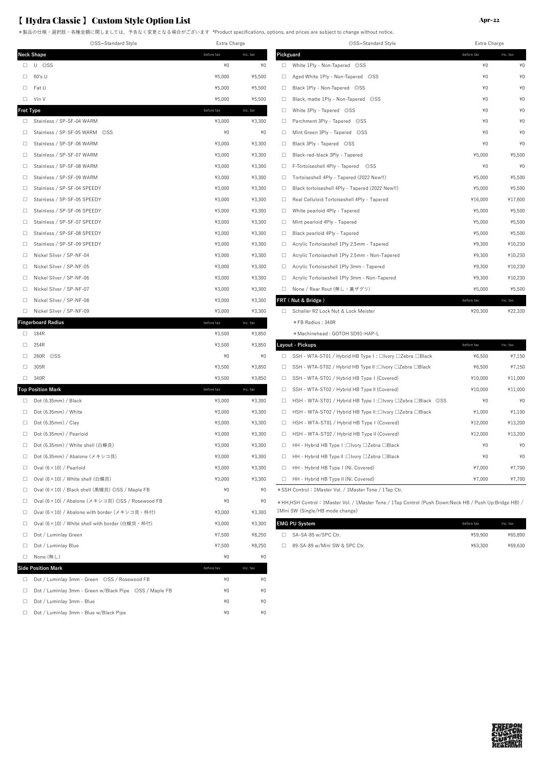\*製品の仕様・選択肢・各種金額に関しましては、予告なく変更となる場合がございます \*Product specifications, options, and prices are subject to change without notice.

|           | ©SS=Standard Style                                       | Extra Charge |          |        | ©SS=Standard Style                                                                                         | Extra Charge |          |
|-----------|----------------------------------------------------------|--------------|----------|--------|------------------------------------------------------------------------------------------------------------|--------------|----------|
|           | <b>Neck Shape</b>                                        | before tax   | inc. tax |        | Pickguard                                                                                                  | before tax   | inc. tax |
|           | $\Box$ U ©SS                                             | $*0$         | $*0$     | $\Box$ | White 1Ply - Non-Tapered ©SS                                                                               | ¥0           | ¥(       |
| $\Box$    | 60's U                                                   | ¥5,000       | ¥5,500   | $\Box$ | Aged White 1Ply - Non-Tapered ©SS                                                                          | $*0$         | ¥(       |
| $\Box$    | Fat U                                                    | ¥5,000       | ¥5,500   | $\Box$ | Black 1Plv - Non-Tapered ©SS                                                                               | ¥0           | ¥(       |
| $\Box$    | Vin V                                                    | ¥5,000       | ¥5,500   | $\Box$ | Black, matte 1Ply - Non-Tapered ©SS                                                                        | ¥0           | ¥(       |
| Fret Type |                                                          | before tax   | inc. tax | $\Box$ | White 3Ply - Tapered ©SS                                                                                   | ¥0           | ¥(       |
| $\Box$    | Stainless / SP-SF-04 WARM                                | ¥3,000       | ¥3,300   | $\Box$ | Parchment 3Ply - Tapered ©SS                                                                               | $*0$         | ¥(       |
| $\Box$    | Stainless / SP-SF-05 WARM ©SS                            | $*0$         | $*0$     | $\Box$ | Mint Green 3Ply - Tapered ©SS                                                                              | $*0$         | ¥(       |
| $\Box$    | Stainless / SP-SF-06 WARM                                | ¥3,000       | ¥3,300   | $\Box$ | Black 3Ply - Tapered ©SS                                                                                   | ¥0           | #        |
| $\Box$    | Stainless / SP-SF-07 WARM                                | ¥3,000       | ¥3,300   | $\Box$ | Black-red-black 3Ply - Tapered                                                                             | ¥5,000       | ¥5,500   |
| $\Box$    | Stainless / SP-SF-08 WARM                                | ¥3,000       | ¥3,300   | $\Box$ | F-Tortoiseshell 4Ply - Tapered ©SS                                                                         | ¥0           | ¥(       |
| $\Box$    | Stainless / SP-SF-09 WARM                                | ¥3,000       | ¥3,300   | $\Box$ | Tortoiseshell 4Ply - Tapered (2022 New!!)                                                                  | ¥5,000       | ¥5,500   |
| $\Box$    | Stainless / SP-SF-04 SPEEDY                              | ¥3,000       | ¥3,300   | $\Box$ | Black tortoiseshell 4Ply - Tapered (2022 New!!)                                                            | ¥5,000       | ¥5,500   |
| $\Box$    | Stainless / SP-SF-05 SPEEDY                              | ¥3,000       | ¥3,300   | $\Box$ | Real Celluloid Tortoiseshell 4Ply - Tapered                                                                | ¥16,000      | ¥17,600  |
| $\Box$    | Stainless / SP-SF-06 SPEEDY                              | ¥3,000       | ¥3,300   | $\Box$ | White pearloid 4Ply - Tapered                                                                              | ¥5,000       | ¥5,500   |
| $\Box$    | Stainless / SP-SF-07 SPEEDY                              | ¥3,000       | ¥3,300   | $\Box$ | Mint pearloid 4Ply - Tapered                                                                               | ¥5,000       | ¥5,500   |
| $\Box$    | Stainless / SP-SF-08 SPEEDY                              | ¥3,000       | ¥3,300   | $\Box$ | Black pearloid 4Ply - Tapered                                                                              | ¥5,000       | ¥5,500   |
| $\Box$    | Stainless / SP-SF-09 SPEEDY                              | ¥3,000       | ¥3,300   | $\Box$ | Acrylic Tortoiseshell 1Ply 2.5mm - Tapered                                                                 | ¥9,300       | ¥10,230  |
| $\Box$    | Nickel Silver / SP-NF-04                                 | ¥3,000       | ¥3,300   | $\Box$ | Acrylic Tortoiseshell 1Ply 2.5mm - Non-Tapered                                                             | ¥9,300       | ¥10,230  |
| $\Box$    | Nickel Silver / SP-NF-05                                 | ¥3,000       | ¥3,300   | $\Box$ | Acrylic Tortoiseshell 1Ply 3mm - Tapered                                                                   | ¥9,300       | ¥10,230  |
| $\Box$    | Nickel Silver / SP-NF-06                                 | ¥3,000       | ¥3,300   | $\Box$ | Acrylic Tortoiseshell 1Ply 3mm - Non-Tapered                                                               | ¥9,300       | ¥10,230  |
| $\Box$    | Nickel Silver / SP-NF-07                                 | ¥3,000       | ¥3,300   | $\Box$ | None / Rear Rout (無し・裏ザグリ)                                                                                 | ¥5,000       | ¥5,500   |
| $\Box$    | Nickel Silver / SP-NF-08                                 | ¥3,000       | ¥3,300   |        | FRT (Nut & Bridge)                                                                                         | before tax   | inc. tax |
|           | □ Nickel Silver / SP-NF-09                               | ¥3,000       | ¥3,300   | $\Box$ | Schaller R2 Lock Nut & Lock Meister                                                                        | ¥20,300      | ¥22,330  |
|           | <b>Fingerboard Radius</b>                                | before tax   | inc. tax |        | * FB Radius: 340R                                                                                          |              |          |
|           | $\Box$ 184R                                              | ¥3,500       | ¥3,850   |        | * Machinehead: GOTOH SD91-HAP-L                                                                            |              |          |
| $\Box$    | 254R                                                     | ¥3,500       | ¥3,850   |        | Layout - Pickups                                                                                           | before tax   | inc. tax |
| $\Box$    | 280R<br>$\circ$ SS                                       | ¥0           | ¥0       | $\Box$ | SSH - WTA-ST01 / Hybrid HB Type I : □Ivory □Zebra □Black                                                   | ¥6,500       | ¥7,150   |
| $\Box$    | 305R                                                     | ¥3,500       | ¥3,850   | $\Box$ | SSH - WTA-ST02 / Hybrid HB Type II:□Ivory □Zebra □Black                                                    | ¥6,500       | ¥7,150   |
| $\Box$    | 340R                                                     | ¥3,500       | ¥3,850   | $\Box$ | SSH - WTA-ST01 / Hybrid HB Type I (Covered)                                                                | ¥10,000      | ¥11,000  |
|           | <b>Top Position Mark</b>                                 | before tax   | inc. tax | $\Box$ | SSH - WTA-ST02 / Hybrid HB Type II (Covered)                                                               | ¥10,000      | ¥11,000  |
| $\Box$    | Dot (6.35mm) / Black                                     | ¥3,000       | ¥3,300   | $\Box$ | HSH - WTA-ST01 / Hybrid HB Type I :□Ivory □Zebra □Black ◎SS                                                | ¥0           | ¥(       |
| $\Box$    | Dot $(6.35mm)$ / White                                   | ¥3,000       | ¥3,300   | $\Box$ | HSH - WTA-ST02 / Hybrid HB Type II :□Ivory □Zebra □Black                                                   | ¥1,000       | ¥1,100   |
| $\Box$    | Dot (6.35mm) / Clay                                      | ¥3,000       | ¥3,300   | $\Box$ | HSH - WTA-ST01 / Hybrid HB Type I (Covered)                                                                | ¥12,000      | ¥13,200  |
| $\Box$    | Dot (6.35mm) / Pearloid                                  | ¥3,000       | ¥3,300   | $\Box$ | HSH - WTA-ST02 / Hybrid HB Type II (Covered)                                                               | ¥12,000      | ¥13,200  |
| $\Box$    | Dot (6.35mm) / White shell (白蝶貝)                         | ¥3,000       | ¥3,300   | $\Box$ | HH - Hybrid HB Type I :□Ivory □Zebra □Black                                                                | ¥0           | ¥(       |
|           | □ Dot (6.35mm) / Abalone (メキシコ貝)                         | ¥3,000       | ¥3,300   | $\Box$ | HH - Hybrid HB Type II :□Ivory □Zebra □Black                                                               | $*0$         | ¥(       |
| $\Box$    | Oval $(6 \times 10)$ / Pearloid                          | ¥3,000       | ¥3,300   | $\Box$ | HH - Hybrid HB Type I (Ni. Covered)                                                                        | ¥7,000       | ¥7,700   |
| $\Box$    | Oval (6×10) / White shell (白蝶貝)                          | ¥3,000       | ¥3,300   | $\Box$ | HH - Hybrid HB Type II (Ni. Covered)                                                                       | ¥7,000       | ¥7,700   |
|           | □ Oval (6×10) / Black shell (黒蝶貝) ◎SS / Maple FB         | $*0$         | ¥0       |        | * SSH Control: 1Master Vol. / 1Master Tone / 1Tap Ctr.                                                     |              |          |
| $\Box$    | Oval (6×10) / Abalone (メキシコ貝) ©SS / Rosewood FB          | ¥0           | $*0$     |        | * HH, HSH Control : 1Master Vol. / 1Master Tone / 1Tap Control (Push Down: Neck HB / Push Up: Bridge HB) / |              |          |
| $\Box$    | Oval (6×10) / Abalone with border (メキシコ貝・枠付)             | ¥3,000       | ¥3,300   |        | 1Mini SW (Single/HB mode change)                                                                           |              |          |
| $\Box$    | Oval (6×10) / White shell with border (白蝶貝 · 枠付)         | ¥3,000       | ¥3,300   |        | <b>EMG PU System</b>                                                                                       | before tax   | inc. tax |
| $\Box$    | Dot / Luminlay Green                                     | ¥7,500       | ¥8,250   |        | □ SA-SA-85 w/SPC Ctr.                                                                                      | ¥59,900      | ¥65,890  |
| $\Box$    | Dot / Luminlay Blue                                      | ¥7,500       | ¥8,250   |        | □ 89-SA-89 w/Mini SW & SPC Ctr.                                                                            | ¥63,300      | ¥69,630  |
|           | □ None (無し)                                              | ¥0           | ¥0       |        |                                                                                                            |              |          |
|           | <b>Side Position Mark</b>                                | before tax   | inc. tax |        |                                                                                                            |              |          |
|           | □ Dot / Luminlay 3mm - Green ©SS / Rosewood FB           | ¥0           | ¥0       |        |                                                                                                            |              |          |
|           | □ Dot / Luminlay 3mm - Green w/Black Pipe ©SS / Maple FB | ¥0           | ¥0       |        |                                                                                                            |              |          |
|           | Dot / Luminlay 3mm - Blue                                | ¥0           | ¥0       |        |                                                                                                            |              |          |
|           | Dot / Luminlay 3mm - Blue w/Black Pipe                   | ¥0           | ¥0       |        |                                                                                                            |              |          |

| $Apr-22$ |
|----------|
|          |
|          |
|          |

| ©SS=Standard Style | ©SS=Standard Style<br>Extra Charge |          |           | Extra Charge                                    |            |          |
|--------------------|------------------------------------|----------|-----------|-------------------------------------------------|------------|----------|
|                    | before tax                         | inc. tax | Pickguard |                                                 | before tax | inc. tax |
|                    | $*0$                               | $*0$     | 0         | White 1Ply - Non-Tapered ©SS                    | $*0$       | $*0$     |
|                    | ¥5,000                             | ¥5,500   | □         | Aged White 1Ply - Non-Tapered ©SS               | $*0$       | $*0$     |
|                    | ¥5.000                             | ¥5,500   | $\Box$    | Black 1Ply - Non-Tapered ©SS                    | $*0$       | $*0$     |
|                    | ¥5,000                             | ¥5,500   | O.        | Black, matte 1Ply - Non-Tapered ©SS             | $*0$       | $*0$     |
|                    | before tax                         | inc. tax | $\Box$    | White 3Ply - Tapered ©SS                        | $*0$       | $*0$     |
| <b>RM</b>          | ¥3,000                             | ¥3,300   | o.        | Parchment 3Ply - Tapered ©SS                    | $*0$       | $*0$     |
| RM ©SS             | $*0$                               | $*0$     | $\Box$    | Mint Green 3Ply - Tapered ©SS                   | $*0$       | $*0$     |
| <b>RM</b>          | ¥3,000                             | ¥3,300   | O.        | Black 3Ply - Tapered ©SS                        | $*0$       | $*0$     |
| <b>RM</b>          | ¥3,000                             | ¥3,300   | $\Box$    | Black-red-black 3Ply - Tapered                  | ¥5,000     | ¥5,500   |
| <b>RM</b>          | ¥3,000                             | ¥3,300   | o.        | F-Tortoiseshell 4Ply - Tapered ©SS              | $*0$       | $*0$     |
| <b>RM</b>          | ¥3,000                             | ¥3,300   | $\Box$    | Tortoiseshell 4Ply - Tapered (2022 New!!)       | ¥5,000     | ¥5,500   |
| EEDY               | ¥3.000                             | ¥3,300   | $\Box$    | Black tortoiseshell 4Ply - Tapered (2022 New!!) | ¥5,000     | ¥5,500   |
| EEDY               | ¥3,000                             | ¥3,300   | $\Box$    | Real Celluloid Tortoiseshell 4Ply - Tapered     | ¥16,000    | ¥17,600  |
| EEDY               | ¥3,000                             | ¥3,300   | O.        | White pearloid 4Ply - Tapered                   | ¥5,000     | ¥5,500   |
| EEDY               | ¥3.000                             | ¥3.300   | □         | Mint pearloid 4Ply - Tapered                    | ¥5.000     | ¥5,500   |
| EEDY               | ¥3.000                             | ¥3.300   | □         | Black pearloid 4Ply - Tapered                   | ¥5,000     | ¥5,500   |
| EEDY               | ¥3,000                             | ¥3,300   | □         | Acrylic Tortoiseshell 1Ply 2.5mm - Tapered      | ¥9,300     | ¥10,230  |
|                    | ¥3,000                             | ¥3,300   | $\Box$    | Acrylic Tortoiseshell 1Ply 2.5mm - Non-Tapered  | ¥9,300     | ¥10,230  |
|                    | ¥3,000                             | ¥3,300   | $\Box$    | Acrylic Tortoiseshell 1Ply 3mm - Tapered        | ¥9,300     | ¥10,230  |
|                    | ¥3.000                             | ¥3.300   | $\Box$    | Acrylic Tortoiseshell 1Ply 3mm - Non-Tapered    | ¥9.300     | ¥10,230  |
|                    | ¥3.000                             | ¥3,300   | □.        | None / Rear Rout (無し・裏ザグリ)                      | ¥5,000     | ¥5,500   |
|                    | ¥3,000                             | ¥3,300   |           | FRT (Nut & Bridge)                              | before tax | inc. tax |
|                    | ¥3.000                             | ¥3,300   | □.        | Schaller R2 Lock Nut & Lock Meister             | ¥20.300    | ¥22,330  |

|   | Layout - Pickups                                            | before tax | inc. tax |
|---|-------------------------------------------------------------|------------|----------|
| п | SSH - WTA-ST01 / Hybrid HB Type I : □Ivory □Zebra □Black    | ¥6.500     | ¥7,150   |
| п | SSH - WTA-ST02 / Hybrid HB Type II :□Ivory □Zebra □Black    | ¥6.500     | ¥7,150   |
| п | SSH - WTA-ST01 / Hybrid HB Type I (Covered)                 | ¥10.000    | ¥11.000  |
| □ | SSH - WTA-ST02 / Hybrid HB Type II (Covered)                | ¥10.000    | ¥11.000  |
| п | HSH - WTA-ST01 / Hybrid HB Type I :□Ivory □Zebra □Black ©SS | ¥0         | ¥0       |
| □ | HSH - WTA-ST02 / Hybrid HB Type II :□Ivory □Zebra □Black    | ¥1.000     | ¥1.100   |
| □ | HSH - WTA-ST01 / Hybrid HB Type I (Covered)                 | ¥12.000    | ¥13.200  |
| п | HSH - WTA-ST02 / Hybrid HB Type II (Covered)                | ¥12.000    | ¥13,200  |
| п | HH - Hybrid HB Type I :□Ivory □Zebra □Black                 | ¥0         | ¥0       |
| □ | HH - Hybrid HB Type II :□Ivory □Zebra □Black                | ¥0         | ¥0       |
| □ | HH - Hybrid HB Type I (Ni. Covered)                         | ¥7.000     | ¥7.700   |
| п | HH - Hybrid HB Type II (Ni. Covered)                        | ¥7.000     | ¥7.700   |

| EMG PU System                 | before tax | inc. tax |
|-------------------------------|------------|----------|
| SA-SA-85 w/SPC Ctr.           | ¥59.900    | ¥65.890  |
| 89-SA-89 w/Mini SW & SPC Ctr. | ¥63.300    | ¥69.630  |